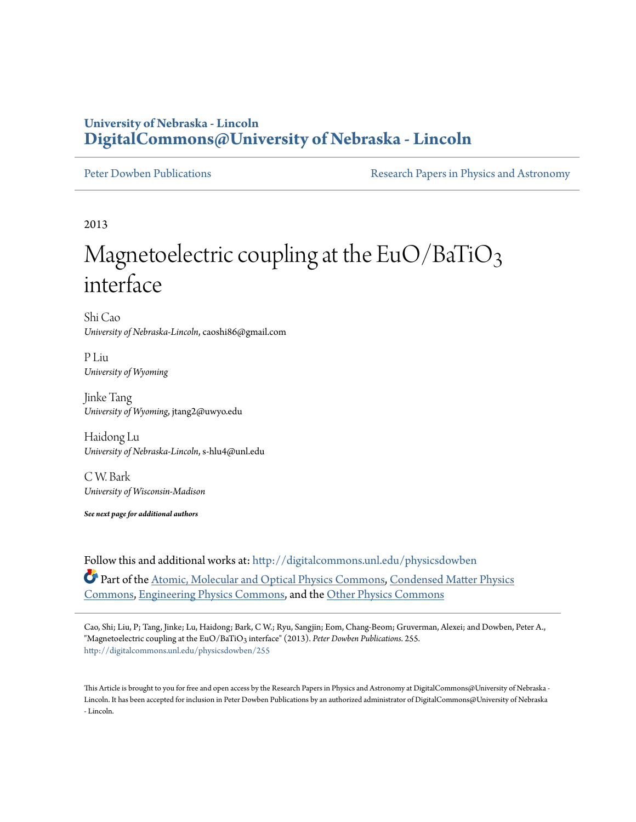## **University of Nebraska - Lincoln [DigitalCommons@University of Nebraska - Lincoln](http://digitalcommons.unl.edu?utm_source=digitalcommons.unl.edu%2Fphysicsdowben%2F255&utm_medium=PDF&utm_campaign=PDFCoverPages)**

[Peter Dowben Publications](http://digitalcommons.unl.edu/physicsdowben?utm_source=digitalcommons.unl.edu%2Fphysicsdowben%2F255&utm_medium=PDF&utm_campaign=PDFCoverPages) **[Research Papers in Physics and Astronomy](http://digitalcommons.unl.edu/physicsresearch?utm_source=digitalcommons.unl.edu%2Fphysicsdowben%2F255&utm_medium=PDF&utm_campaign=PDFCoverPages)** 

2013

## Magnetoelectric coupling at the  $EuO/BaTiO<sub>3</sub>$ interface

Shi Cao *University of Nebraska-Lincoln*, caoshi86@gmail.com

P Liu *University of Wyoming*

Jinke Tang *University of Wyoming*, jtang2@uwyo.edu

Haidong Lu *University of Nebraska-Lincoln*, s-hlu4@unl.edu

C W. Bark *University of Wisconsin-Madison*

*See next page for additional authors*

Follow this and additional works at: [http://digitalcommons.unl.edu/physicsdowben](http://digitalcommons.unl.edu/physicsdowben?utm_source=digitalcommons.unl.edu%2Fphysicsdowben%2F255&utm_medium=PDF&utm_campaign=PDFCoverPages) Part of the [Atomic, Molecular and Optical Physics Commons,](http://network.bepress.com/hgg/discipline/195?utm_source=digitalcommons.unl.edu%2Fphysicsdowben%2F255&utm_medium=PDF&utm_campaign=PDFCoverPages) [Condensed Matter Physics](http://network.bepress.com/hgg/discipline/197?utm_source=digitalcommons.unl.edu%2Fphysicsdowben%2F255&utm_medium=PDF&utm_campaign=PDFCoverPages) [Commons,](http://network.bepress.com/hgg/discipline/197?utm_source=digitalcommons.unl.edu%2Fphysicsdowben%2F255&utm_medium=PDF&utm_campaign=PDFCoverPages) [Engineering Physics Commons](http://network.bepress.com/hgg/discipline/200?utm_source=digitalcommons.unl.edu%2Fphysicsdowben%2F255&utm_medium=PDF&utm_campaign=PDFCoverPages), and the [Other Physics Commons](http://network.bepress.com/hgg/discipline/207?utm_source=digitalcommons.unl.edu%2Fphysicsdowben%2F255&utm_medium=PDF&utm_campaign=PDFCoverPages)

Cao, Shi; Liu, P; Tang, Jinke; Lu, Haidong; Bark, C W.; Ryu, Sangjin; Eom, Chang-Beom; Gruverman, Alexei; and Dowben, Peter A., "Magnetoelectric coupling at the EuO/BaTiO<sub>3</sub> interface" (2013). Peter Dowben Publications. 255. [http://digitalcommons.unl.edu/physicsdowben/255](http://digitalcommons.unl.edu/physicsdowben/255?utm_source=digitalcommons.unl.edu%2Fphysicsdowben%2F255&utm_medium=PDF&utm_campaign=PDFCoverPages)

This Article is brought to you for free and open access by the Research Papers in Physics and Astronomy at DigitalCommons@University of Nebraska - Lincoln. It has been accepted for inclusion in Peter Dowben Publications by an authorized administrator of DigitalCommons@University of Nebraska - Lincoln.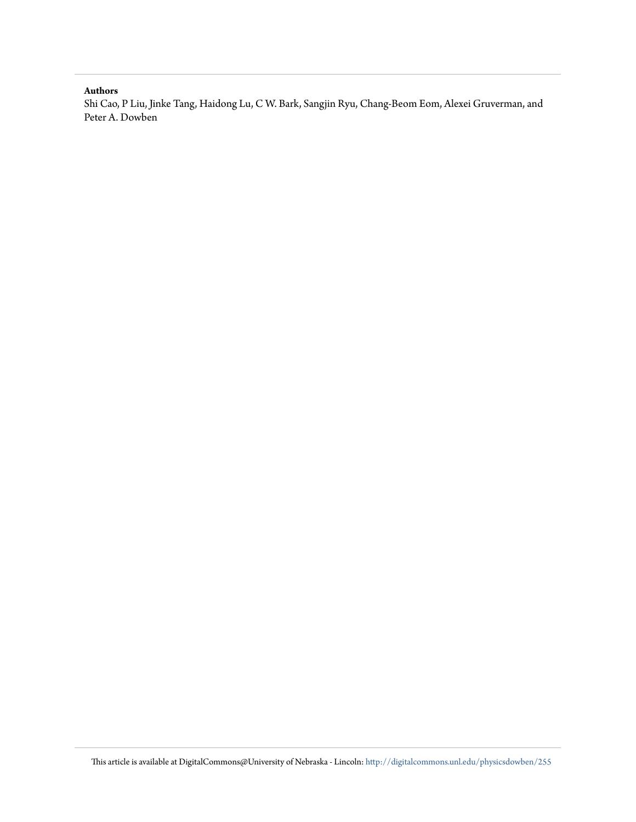## **Authors**

Shi Cao, P Liu, Jinke Tang, Haidong Lu, C W. Bark, Sangjin Ryu, Chang-Beom Eom, Alexei Gruverman, and Peter A. Dowben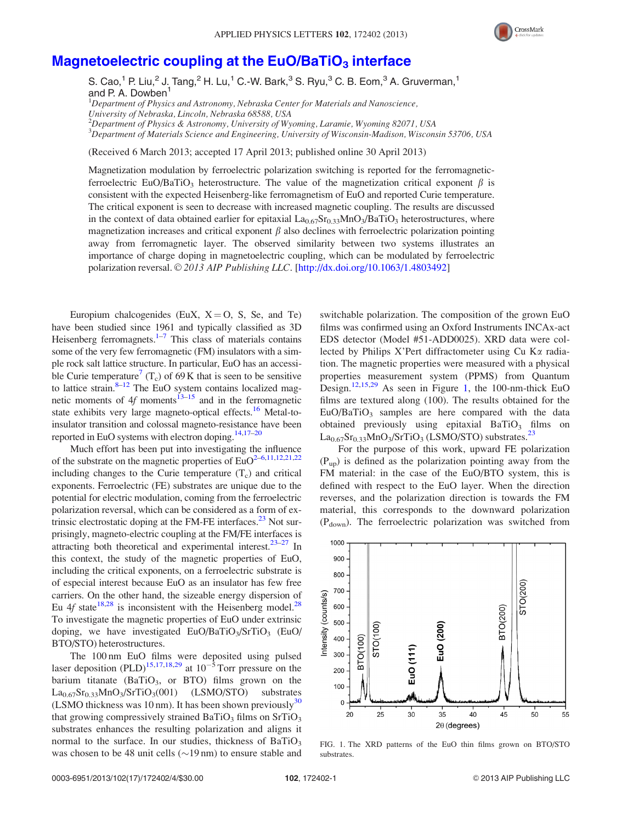

## Magnetoelectric coupling at the  $EuO/BaTiO<sub>3</sub>$  [interface](http://dx.doi.org/10.1063/1.4803492)

S. Cao,<sup>1</sup> P. Liu,<sup>2</sup> J. Tang,<sup>2</sup> H. Lu,<sup>1</sup> C.-W. Bark,<sup>3</sup> S. Ryu,<sup>3</sup> C. B. Eom,<sup>3</sup> A. Gruverman,<sup>1</sup> and P. A. Dowben<sup>1</sup>

 $^1$ Department of Physics and Astronomy, Nebraska Center for Materials and Nanoscience,

2 Department of Physics & Astronomy, University of Wyoming, Laramie, Wyoming 82071, USA

3 Department of Materials Science and Engineering, University of Wisconsin-Madison, Wisconsin 53706, USA

(Received 6 March 2013; accepted 17 April 2013; published online 30 April 2013)

Magnetization modulation by ferroelectric polarization switching is reported for the ferromagneticferroelectric EuO/BaTiO<sub>3</sub> heterostructure. The value of the magnetization critical exponent  $\beta$  is consistent with the expected Heisenberg-like ferromagnetism of EuO and reported Curie temperature. The critical exponent is seen to decrease with increased magnetic coupling. The results are discussed in the context of data obtained earlier for epitaxial  $La_{0.67}Sr_{0.33}MnO_3/BaTiO_3$  heterostructures, where magnetization increases and critical exponent  $\beta$  also declines with ferroelectric polarization pointing away from ferromagnetic layer. The observed similarity between two systems illustrates an importance of charge doping in magnetoelectric coupling, which can be modulated by ferroelectric polarization reversal. © 2013 AIP Publishing LLC. [[http://dx.doi.org/10.1063/1.4803492\]](http://dx.doi.org/10.1063/1.4803492)

Europium chalcogenides (EuX,  $X = O$ , S, Se, and Te) have been studied since 1961 and typically classified as 3D Heisenberg ferromagnets. $1-7$  This class of materials contains some of the very few ferromagnetic (FM) insulators with a simple rock salt lattice structure. In particular, EuO has an accessi-ble Curie temperature<sup>[7](#page-4-0)</sup> (T<sub>c</sub>) of 69 K that is seen to be sensitive to lattice strain. $8-12$  The EuO system contains localized mag-netic moments of 4f moments<sup>13–[15](#page-5-0)</sup> and in the ferromagnetic state exhibits very large magneto-optical effects.<sup>[16](#page-5-0)</sup> Metal-toinsulator transition and colossal magneto-resistance have been reported in EuO systems with electron doping. $14,17-20$ 

Much effort has been put into investigating the influence of the substrate on the magnetic properties of  $EuO<sup>2-6,11,12,21,22</sup>$  $EuO<sup>2-6,11,12,21,22</sup>$  $EuO<sup>2-6,11,12,21,22</sup>$  $EuO<sup>2-6,11,12,21,22</sup>$  $EuO<sup>2-6,11,12,21,22</sup>$ including changes to the Curie temperature  $(T_c)$  and critical exponents. Ferroelectric (FE) substrates are unique due to the potential for electric modulation, coming from the ferroelectric polarization reversal, which can be considered as a form of extrinsic electrostatic doping at the FM-FE interfaces. $^{23}$  Not surprisingly, magneto-electric coupling at the FM/FE interfaces is attracting both theoretical and experimental interest. $23-27$  In this context, the study of the magnetic properties of EuO, including the critical exponents, on a ferroelectric substrate is of especial interest because EuO as an insulator has few free carriers. On the other hand, the sizeable energy dispersion of Eu 4f state<sup>18,[28](#page-5-0)</sup> is inconsistent with the Heisenberg model.<sup>28</sup> To investigate the magnetic properties of EuO under extrinsic doping, we have investigated  $EuO/BaTiO<sub>3</sub>/SrTiO<sub>3</sub>$  (EuO/ BTO/STO) heterostructures.

The 100 nm EuO films were deposited using pulsed laser deposition (PLD)<sup>[15,17,18,29](#page-5-0)</sup> at  $10^{-5}$  Torr pressure on the barium titanate  $(BaTiO<sub>3</sub>, or BTO)$  films grown on the  $La_{0.67}Sr_{0.33}MnO_3/SrTiO_3(001)$  (LSMO/STO) substrates (LSMO thickness was 10 nm). It has been shown previously<sup>[30](#page-5-0)</sup> that growing compressively strained  $BaTiO<sub>3</sub>$  films on  $SrTiO<sub>3</sub>$ substrates enhances the resulting polarization and aligns it normal to the surface. In our studies, thickness of  $BaTiO<sub>3</sub>$ was chosen to be 48 unit cells  $(\sim 19 \text{ nm})$  to ensure stable and switchable polarization. The composition of the grown EuO films was confirmed using an Oxford Instruments INCAx-act EDS detector (Model #51-ADD0025). XRD data were collected by Philips X'Pert diffractometer using Cu K $\alpha$  radiation. The magnetic properties were measured with a physical properties measurement system (PPMS) from Quantum Design.<sup>[12,15,29](#page-5-0)</sup> As seen in Figure 1, the 100-nm-thick EuO films are textured along (100). The results obtained for the  $EuO/BaTiO<sub>3</sub>$  samples are here compared with the data obtained previously using epitaxial  $BaTiO<sub>3</sub>$  films on  $La_{0.67}Sr_{0.33}MnO_3/SrTiO_3$  (LSMO/STO) substrates.<sup>[23](#page-5-0)</sup>

For the purpose of this work, upward FE polarization  $(P_{\text{un}})$  is defined as the polarization pointing away from the FM material: in the case of the EuO/BTO system, this is defined with respect to the EuO layer. When the direction reverses, and the polarization direction is towards the FM material, this corresponds to the downward polarization (P<sub>down</sub>). The ferroelectric polarization was switched from



FIG. 1. The XRD patterns of the EuO thin films grown on BTO/STO substrates.

University of Nebraska, Lincoln, Nebraska 68588, USA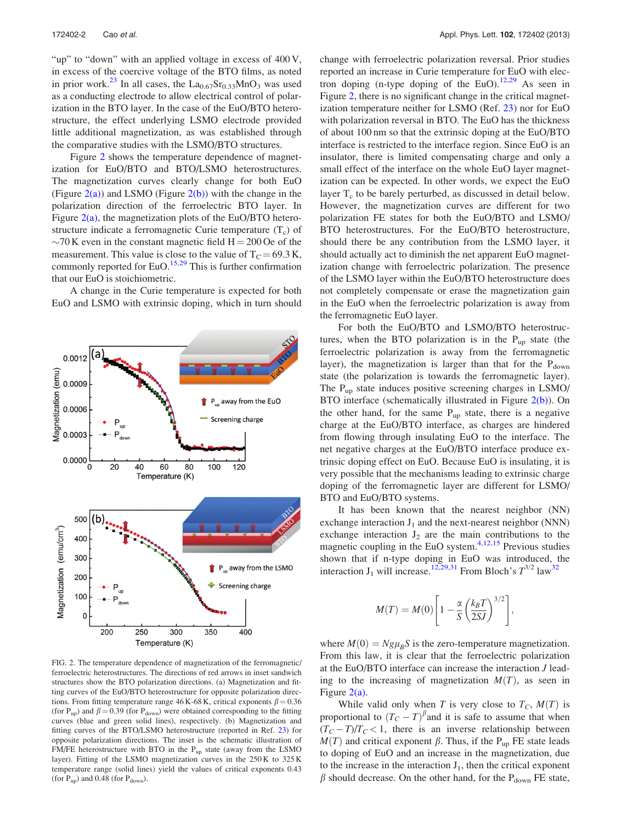0.0012

0.0009

0.0006

0.0003

0.0000

500  $(b)$ 

400 300

200

100  $\mathbf 0$ 

Magnetization (emu/cm<sup>3</sup>

 $\Omega$ 

20

40

60

Temperature (K)

80

100

Magnetization (emu)

<span id="page-3-0"></span>"up" to "down" with an applied voltage in excess of 400 V, in excess of the coercive voltage of the BTO films, as noted in prior work.<sup>[23](#page-5-0)</sup> In all cases, the  $La_{0.67}Sr_{0.33}MnO_3$  was used as a conducting electrode to allow electrical control of polarization in the BTO layer. In the case of the EuO/BTO heterostructure, the effect underlying LSMO electrode provided little additional magnetization, as was established through the comparative studies with the LSMO/BTO structures.

Figure 2 shows the temperature dependence of magnetization for EuO/BTO and BTO/LSMO heterostructures. The magnetization curves clearly change for both EuO (Figure  $2(a)$ ) and LSMO (Figure  $2(b)$ ) with the change in the polarization direction of the ferroelectric BTO layer. In Figure  $2(a)$ , the magnetization plots of the EuO/BTO heterostructure indicate a ferromagnetic Curie temperature  $(T_c)$  of  $\sim$ 70 K even in the constant magnetic field H = 200 Oe of the measurement. This value is close to the value of  $T_C = 69.3 \text{ K}$ , commonly reported for EuO.<sup>[15,29](#page-5-0)</sup> This is further confirmation that our EuO is stoichiometric.

A change in the Curie temperature is expected for both EuO and LSMO with extrinsic doping, which in turn should

P<sub>up</sub> away from the EuO

Screening charge

120

P<sub>up</sub> away from the LSMO

Screening charge



change with ferroelectric polarization reversal. Prior studies reported an increase in Curie temperature for EuO with elec-tron doping (n-type doping of the EuO).<sup>[12,29](#page-5-0)</sup> As seen in Figure 2, there is no significant change in the critical magnetization temperature neither for LSMO (Ref. [23\)](#page-5-0) nor for EuO with polarization reversal in BTO. The EuO has the thickness of about 100 nm so that the extrinsic doping at the EuO/BTO interface is restricted to the interface region. Since EuO is an insulator, there is limited compensating charge and only a small effect of the interface on the whole EuO layer magnetization can be expected. In other words, we expect the EuO layer  $T_c$  to be barely perturbed, as discussed in detail below. However, the magnetization curves are different for two polarization FE states for both the EuO/BTO and LSMO/ BTO heterostructures. For the EuO/BTO heterostructure, should there be any contribution from the LSMO layer, it should actually act to diminish the net apparent EuO magnetization change with ferroelectric polarization. The presence of the LSMO layer within the EuO/BTO heterostructure does not completely compensate or erase the magnetization gain in the EuO when the ferroelectric polarization is away from the ferromagnetic EuO layer.

For both the EuO/BTO and LSMO/BTO heterostructures, when the BTO polarization is in the  $P_{up}$  state (the ferroelectric polarization is away from the ferromagnetic layer), the magnetization is larger than that for the  $P_{down}$ state (the polarization is towards the ferromagnetic layer). The  $P_{up}$  state induces positive screening charges in LSMO/ BTO interface (schematically illustrated in Figure 2(b)). On the other hand, for the same  $P_{up}$  state, there is a negative charge at the EuO/BTO interface, as charges are hindered from flowing through insulating EuO to the interface. The net negative charges at the EuO/BTO interface produce extrinsic doping effect on EuO. Because EuO is insulating, it is very possible that the mechanisms leading to extrinsic charge doping of the ferromagnetic layer are different for LSMO/ BTO and EuO/BTO systems.

It has been known that the nearest neighbor (NN) exchange interaction  $J_1$  and the next-nearest neighbor (NNN) exchange interaction  $J_2$  are the main contributions to the magnetic coupling in the EuO system. $4,12,15$  $4,12,15$  $4,12,15$  $4,12,15$  Previous studies shown that if n-type doping in EuO was introduced, the interaction  $J_1$  will increase.<sup>[12,29,31](#page-5-0)</sup> From Bloch's  $T^{3/2}$  law<sup>[32](#page-5-0)</sup>

$$
M(T) = M(0) \left[ 1 - \frac{\alpha}{S} \left( \frac{k_B T}{2SJ} \right)^{3/2} \right],
$$

where  $M(0) = Ng\mu_B S$  is the zero-temperature magnetization. From this law, it is clear that the ferroelectric polarization at the EuO/BTO interface can increase the interaction J leading to the increasing of magnetization  $M(T)$ , as seen in Figure 2(a).

While valid only when T is very close to  $T_C$ ,  $M(T)$  is proportional to  $(T_C - T)^{\beta}$  and it is safe to assume that when  $(T_C - T)/T_C < 1$ , there is an inverse relationship between  $M(T)$  and critical exponent  $\beta$ . Thus, if the P<sub>up</sub> FE state leads to doping of EuO and an increase in the magnetization, due to the increase in the interaction  $J_1$ , then the critical exponent  $\beta$  should decrease. On the other hand, for the P<sub>down</sub> FE state,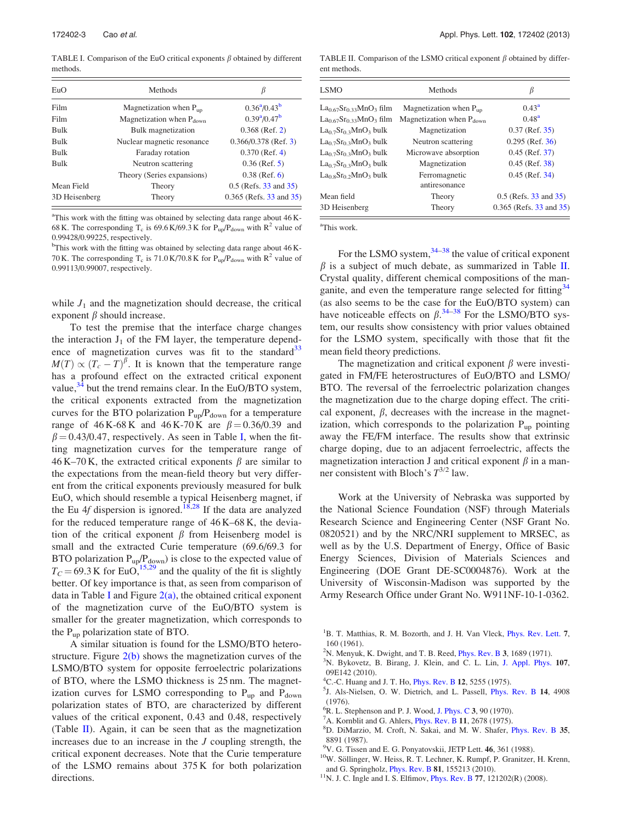<span id="page-4-0"></span>TABLE I. Comparison of the EuO critical exponents  $\beta$  obtained by different methods.

| EuO           | Methods                            |                                       |
|---------------|------------------------------------|---------------------------------------|
| Film          | Magnetization when $P_{\text{un}}$ | $0.36^a/0.43^b$                       |
| Film          | Magnetization when $P_{down}$      | $0.39^{\mathrm{a}}/0.47^{\mathrm{b}}$ |
| <b>Bulk</b>   | Bulk magnetization                 | $0.368$ (Ref. 2)                      |
| <b>Bulk</b>   | Nuclear magnetic resonance         | $0.366/0.378$ (Ref. 3)                |
| <b>Bulk</b>   | Faraday rotation                   | $0.370$ (Ref. 4)                      |
| <b>Bulk</b>   | Neutron scattering                 | $0.36$ (Ref. 5)                       |
|               | Theory (Series expansions)         | $0.38$ (Ref. 6)                       |
| Mean Field    | Theory                             | $0.5$ (Refs. 33 and 35)               |
| 3D Heisenberg | Theory                             | $0.365$ (Refs. $33$ and $35$ )        |

<sup>a</sup>This work with the fitting was obtained by selecting data range about 46 K-68 K. The corresponding T<sub>c</sub> is 69.6 K/69.3 K for P<sub>up</sub>/P<sub>down</sub> with R<sup>2</sup> value of 0.99428/0.99225, respectively.

<sup>b</sup>This work with the fitting was obtained by selecting data range about 46 K-70 K. The corresponding T<sub>c</sub> is 71.0 K/70.8 K for  $P_{up}/P_{down}$  with R<sup>2</sup> value of 0.99113/0.99007, respectively.

while  $J_1$  and the magnetization should decrease, the critical exponent  $\beta$  should increase.

To test the premise that the interface charge changes the interaction  $J_1$  of the FM layer, the temperature depend-ence of magnetization curves was fit to the standard<sup>[33](#page-5-0)</sup>  $M(T) \propto (T_c - T)^{\beta}$ . It is known that the temperature range has a profound effect on the extracted critical exponent value,  $34$  but the trend remains clear. In the EuO/BTO system, the critical exponents extracted from the magnetization curves for the BTO polarization  $P_{up}/P_{down}$  for a temperature range of 46 K-68 K and 46 K-70 K are  $\beta = 0.36/0.39$  and  $\beta = 0.43/0.47$ , respectively. As seen in Table I, when the fitting magnetization curves for the temperature range of 46 K–70 K, the extracted critical exponents  $\beta$  are similar to the expectations from the mean-field theory but very different from the critical exponents previously measured for bulk EuO, which should resemble a typical Heisenberg magnet, if the Eu  $4f$  dispersion is ignored.<sup>[18,28](#page-5-0)</sup> If the data are analyzed for the reduced temperature range of 46 K–68 K, the deviation of the critical exponent  $\beta$  from Heisenberg model is small and the extracted Curie temperature (69.6/69.3 for BTO polarization  $P_{up}/P_{down}$ ) is close to the expected value of  $T_c = 69.3$  K for EuO,<sup>15,29</sup> and the quality of the fit is slightly better. Of key importance is that, as seen from comparison of data in Table I and Figure  $2(a)$ , the obtained critical exponent of the magnetization curve of the EuO/BTO system is smaller for the greater magnetization, which corresponds to the  $P_{up}$  polarization state of BTO.

A similar situation is found for the LSMO/BTO heterostructure. Figure  $2(b)$  shows the magnetization curves of the LSMO/BTO system for opposite ferroelectric polarizations of BTO, where the LSMO thickness is 25 nm. The magnetization curves for LSMO corresponding to  $P_{up}$  and  $P_{down}$ polarization states of BTO, are characterized by different values of the critical exponent, 0.43 and 0.48, respectively (Table  $\mathbf{II}$ ). Again, it can be seen that as the magnetization increases due to an increase in the J coupling strength, the critical exponent decreases. Note that the Curie temperature of the LSMO remains about 375 K for both polarization directions.

TABLE II. Comparison of the LSMO critical exponent  $\beta$  obtained by different methods.

| LSMO                           | Methods                            | В                       |
|--------------------------------|------------------------------------|-------------------------|
| $La0.67Sr0.33MnO3 film$        | Magnetization when $P_{\text{un}}$ | $0.43^{\rm a}$          |
| $La_{0.67}Sr_{0.33}MnO_3$ film | Magnetization when $P_{down}$      | $0.48^{\rm a}$          |
| $La0.7Sr0.3MnO3 bulk$          | Magnetization                      | $0.37$ (Ref. $35$ )     |
| $La0.7Sr0.3MnO3 bulk$          | Neutron scattering                 | $0.295$ (Ref. 36)       |
| $La0.7Sr0.3MnO3 bulk$          | Microwave absorption               | $0.45$ (Ref. 37)        |
| $La0.7Sr0.3MnO3 bulk$          | Magnetization                      | $0.45$ (Ref. 38)        |
| $La0.8Sr0.2MnO3 bulk$          | Ferromagnetic                      | $0.45$ (Ref. 34)        |
|                                | antiresonance                      |                         |
| Mean field                     | Theory                             | $0.5$ (Refs. 33 and 35) |
| 3D Heisenberg                  | Theory                             | 0.365 (Refs. 33 and 35) |

a This work.

For the LSMO system,  $34-38$  the value of critical exponent  $\beta$  is a subject of much debate, as summarized in Table II. Crystal quality, different chemical compositions of the man-ganite, and even the temperature range selected for fitting<sup>[34](#page-5-0)</sup> (as also seems to be the case for the EuO/BTO system) can have noticeable effects on  $\beta$ .<sup>[34–38](#page-5-0)</sup> For the LSMO/BTO system, our results show consistency with prior values obtained for the LSMO system, specifically with those that fit the mean field theory predictions.

The magnetization and critical exponent  $\beta$  were investigated in FM/FE heterostructures of EuO/BTO and LSMO/ BTO. The reversal of the ferroelectric polarization changes the magnetization due to the charge doping effect. The critical exponent,  $\beta$ , decreases with the increase in the magnetization, which corresponds to the polarization  $P_{up}$  pointing away the FE/FM interface. The results show that extrinsic charge doping, due to an adjacent ferroelectric, affects the magnetization interaction J and critical exponent  $\beta$  in a manner consistent with Bloch's  $T^{3/2}$  law.

Work at the University of Nebraska was supported by the National Science Foundation (NSF) through Materials Research Science and Engineering Center (NSF Grant No. 0820521) and by the NRC/NRI supplement to MRSEC, as well as by the U.S. Department of Energy, Office of Basic Energy Sciences, Division of Materials Sciences and Engineering (DOE Grant DE-SC0004876). Work at the University of Wisconsin-Madison was supported by the Army Research Office under Grant No. W911NF-10-1-0362.

- <sup>1</sup>B. T. Matthias, R. M. Bozorth, and J. H. Van Vleck, *[Phys. Rev. Lett.](http://dx.doi.org/10.1103/PhysRevLett.7.160)* 7, 160 (1961).
- <sup>2</sup>N. Menyuk, K. Dwight, and T. B. Reed, *[Phys. Rev. B](http://dx.doi.org/10.1103/PhysRevB.3.1689)* 3, 1689 (1971).<br><sup>3</sup>N. Bykovetz, B. Birang, J. Klein, and C. J. J.in, J. Appl. Phys.
- <sup>3</sup>N. Bykovetz, B. Birang, J. Klein, and C. L. Lin, [J. Appl. Phys.](http://dx.doi.org/10.1063/1.3367965) 107, 09E142 (2010).
- <sup>4</sup>C.-C. Huang and J. T. Ho, *[Phys. Rev. B](http://dx.doi.org/10.1103/PhysRevB.12.5255)* 12, 5255 (1975).<br><sup>5</sup>L. Ale Nielsen, O. W. Dietrich, and J. Passell, *Phys.*
- <sup>5</sup>J. Als-Nielsen, O. W. Dietrich, and L. Passell, *[Phys. Rev. B](http://dx.doi.org/10.1103/PhysRevB.14.4908)* 14, 4908 (1976).
- ${}^{6}R$ . L. Stephenson and P. J. Wood, [J. Phys. C](http://dx.doi.org/10.1088/0022-3719/3/1/012) 3, 90 (1970).<br>  ${}^{7}A$  Korphiit and G. Ablers, Phys. Pay, B 11, 2678 (1975).
- ${}^{7}$ A. Kornblit and G. Ahlers, *[Phys. Rev. B](http://dx.doi.org/10.1103/PhysRevB.11.2678)* 11, 2678 (1975).
- D. DiMarzio, M. Croft, N. Sakai, and M. W. Shafer, [Phys. Rev. B](http://dx.doi.org/10.1103/PhysRevB.35.8891) 35, 8891 (1987).
- V. G. Tissen and E. G. Ponyatovskii, JETP Lett. 46, 361 (1988).
- <sup>10</sup>W. Söllinger, W. Heiss, R. T. Lechner, K. Rumpf, P. Granitzer, H. Krenn, and G. Springholz, [Phys. Rev. B](http://dx.doi.org/10.1103/PhysRevB.77.121202) **81**, 155213 (2010). <sup>11</sup>N. J. C. Ingle and I. S. Elfimov, Phys. Rev. B **77**, 121202(R) (2008).
-